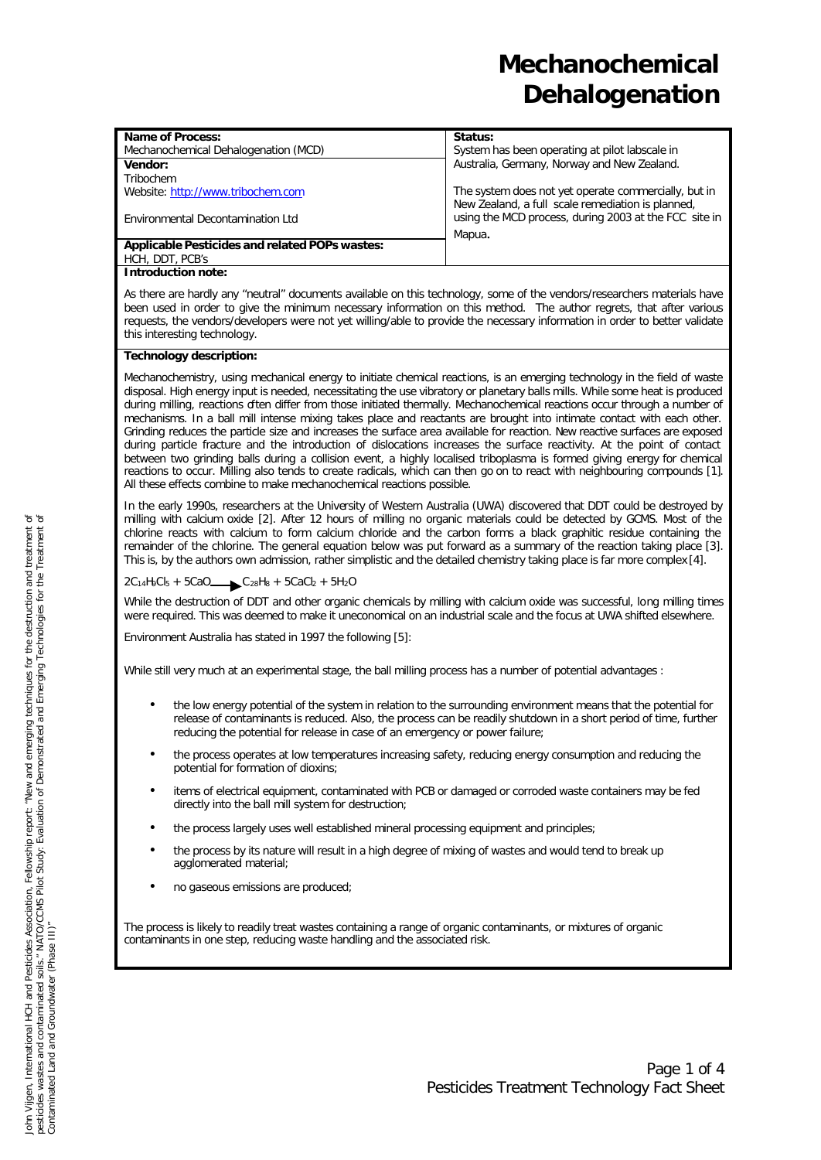| <b>Name of Process:</b>                                                                                                                                                                                                                                                                                                                                                                                                                                                                                                                                                                                                                          | Status:                                               |  |
|--------------------------------------------------------------------------------------------------------------------------------------------------------------------------------------------------------------------------------------------------------------------------------------------------------------------------------------------------------------------------------------------------------------------------------------------------------------------------------------------------------------------------------------------------------------------------------------------------------------------------------------------------|-------------------------------------------------------|--|
| Mechanochemical Dehalogenation (MCD)                                                                                                                                                                                                                                                                                                                                                                                                                                                                                                                                                                                                             | System has been operating at pilot labscale in        |  |
| Vendor:                                                                                                                                                                                                                                                                                                                                                                                                                                                                                                                                                                                                                                          | Australia, Germany, Norway and New Zealand.           |  |
| Tribochem                                                                                                                                                                                                                                                                                                                                                                                                                                                                                                                                                                                                                                        |                                                       |  |
| Website: http://www.tribochem.com                                                                                                                                                                                                                                                                                                                                                                                                                                                                                                                                                                                                                | The system does not yet operate commercially, but in  |  |
|                                                                                                                                                                                                                                                                                                                                                                                                                                                                                                                                                                                                                                                  | New Zealand, a full scale remediation is planned,     |  |
| Environmental Decontamination Ltd                                                                                                                                                                                                                                                                                                                                                                                                                                                                                                                                                                                                                | using the MCD process, during 2003 at the FCC site in |  |
|                                                                                                                                                                                                                                                                                                                                                                                                                                                                                                                                                                                                                                                  | Mapua.                                                |  |
| Applicable Pesticides and related POPs wastes:                                                                                                                                                                                                                                                                                                                                                                                                                                                                                                                                                                                                   |                                                       |  |
| HCH, DDT, PCB's                                                                                                                                                                                                                                                                                                                                                                                                                                                                                                                                                                                                                                  |                                                       |  |
| <b>Introduction note:</b>                                                                                                                                                                                                                                                                                                                                                                                                                                                                                                                                                                                                                        |                                                       |  |
| As there are hardly any "neutral" documents available on this technology, some of the vendors/researchers materials have<br>been used in order to give the minimum necessary information on this method. The author regrets, that after various<br>requests, the vendors/developers were not yet willing/able to provide the necessary information in order to better validate<br>this interesting technology.                                                                                                                                                                                                                                   |                                                       |  |
| <b>Technology description:</b>                                                                                                                                                                                                                                                                                                                                                                                                                                                                                                                                                                                                                   |                                                       |  |
| Mechanochemistry, using mechanical energy to initiate chemical reactions, is an emerging technology in the field of waste<br>disposal. High energy input is needed, necessitating the use vibratory or planetary balls mills. While some heat is produced<br>during milling, reactions often differ from those initiated thermally. Mechanochemical reactions occur through a number of<br>mechanisms. In a ball mill intense mixing takes place and reactants are brought into intimate contact with each other.<br>Grinding reduces the particle size and increases the surface area available for reaction. New reactive surfaces are exposed |                                                       |  |

during particle fracture and the introduction of dislocations increases the surface reactivity. At the point of contact between two grinding balls during a collision event, a highly localised triboplasma is formed giving energy for chemical reactions to occur. Milling also tends to create radicals, which can then go on to react with neighbouring compounds [1]. All these effects combine to make mechanochemical reactions possible. In the early 1990s, researchers at the University of Western Australia (UWA) discovered that DDT could be destroyed by

milling with calcium oxide [2]. After 12 hours of milling no organic materials could be detected by GCMS. Most of the chlorine reacts with calcium to form calcium chloride and the carbon forms a black graphitic residue containing the remainder of the chlorine. The general equation below was put forward as a summary of the reaction taking place [3]. This is, by the authors own admission, rather simplistic and the detailed chemistry taking place is far more complex [4].

### $2C_{14}H_9Cl_5 + 5CaO$   $C_{28}H_8 + 5CaCl_2 + 5H_2O$

While the destruction of DDT and other organic chemicals by milling with calcium oxide was successful, long milling times were required. This was deemed to make it uneconomical on an industrial scale and the focus at UWA shifted elsewhere.

Environment Australia has stated in 1997 the following [5]:

While still very much at an experimental stage, the ball milling process has a number of potential advantages :

- the low energy potential of the system in relation to the surrounding environment means that the potential for release of contaminants is reduced. Also, the process can be readily shutdown in a short period of time, further reducing the potential for release in case of an emergency or power failure;
- the process operates at low temperatures increasing safety, reducing energy consumption and reducing the potential for formation of dioxins;
- items of electrical equipment, contaminated with PCB or damaged or corroded waste containers may be fed directly into the ball mill system for destruction;
- the process largely uses well established mineral processing equipment and principles;
- the process by its nature will result in a high degree of mixing of wastes and would tend to break up agglomerated material;
- no gaseous emissions are produced;

The process is likely to readily treat wastes containing a range of organic contaminants, or mixtures of organic contaminants in one step, reducing waste handling and the associated risk.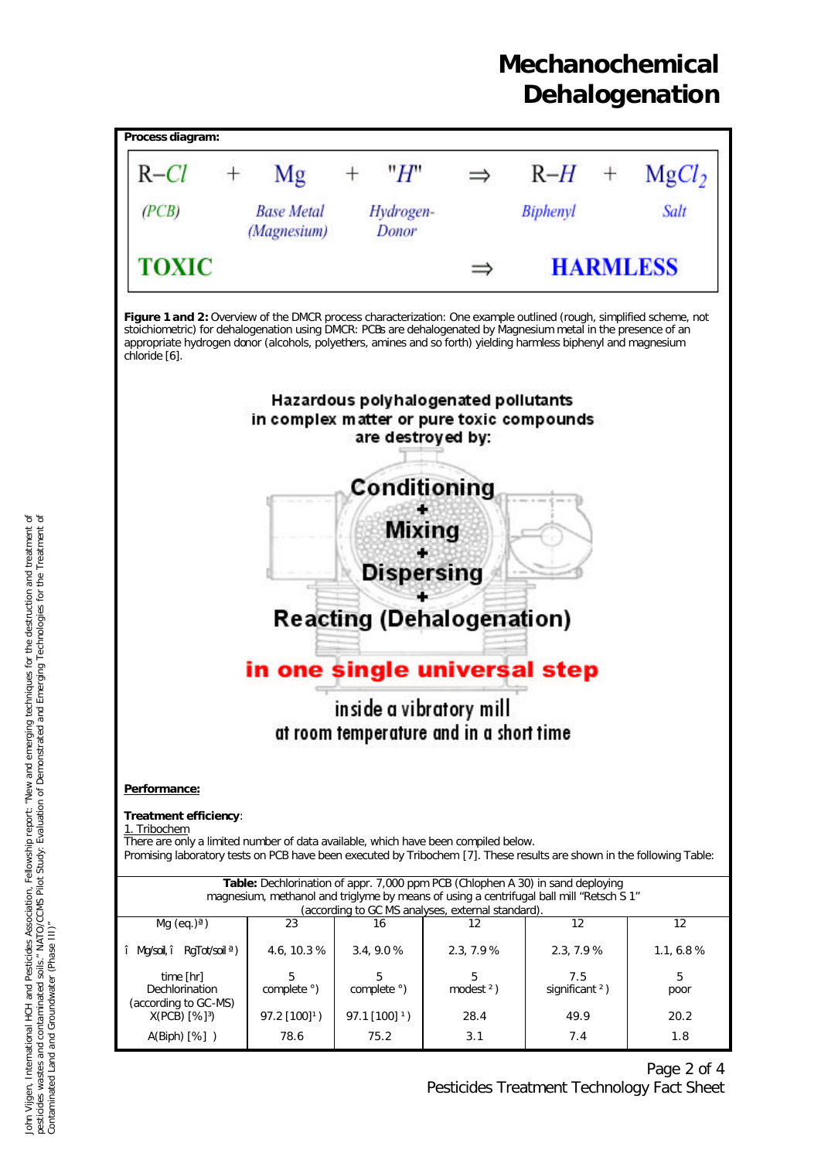

Page 2 of 4 Pesticides Treatment Technology Fact Sheet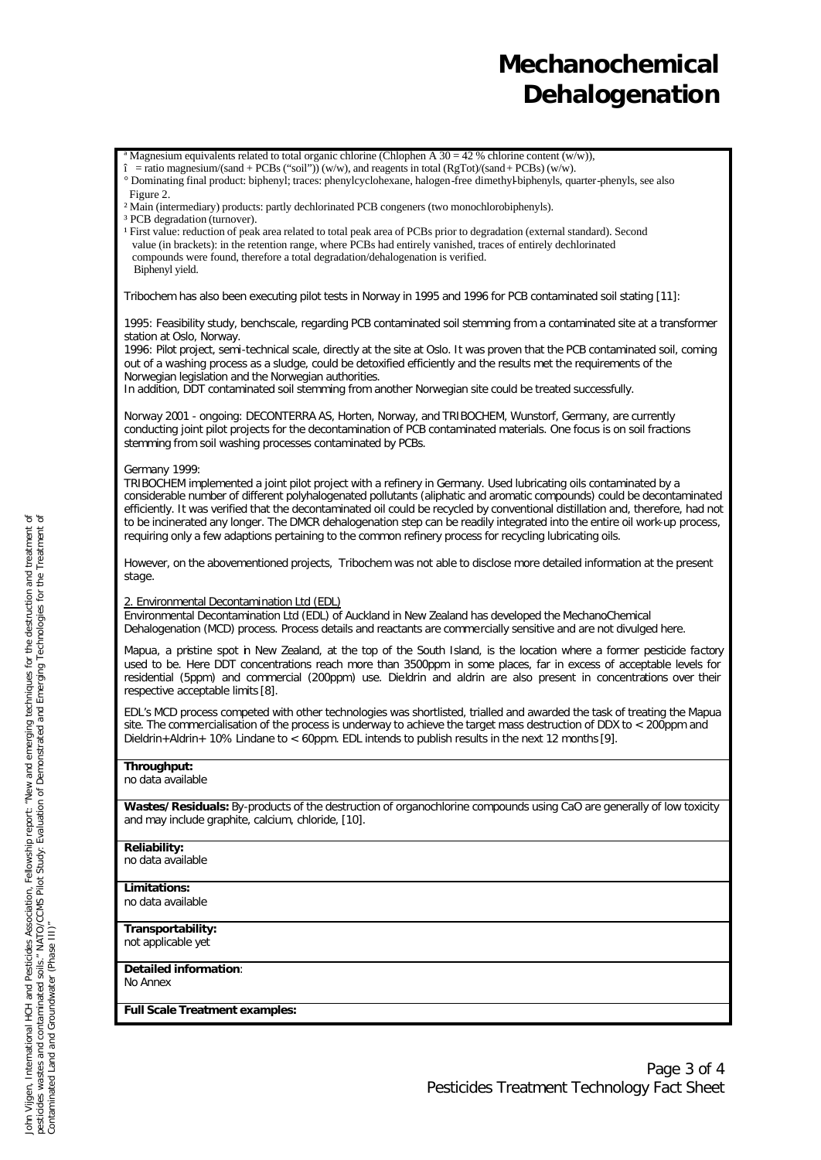Magnesium equivalents related to total organic chlorine (Chlophen A 30 = 42 % chlorine content (w/w)),

 $\epsilon$  = ratio magnesium/(sand + PCBs ("soil")) (w/w), and reagents in total (RgTot)/(sand + PCBs) (w/w).

° Dominating final product: biphenyl; traces: phenylcyclohexane, halogen-free dimethyl-biphenyls, quarter-phenyls, see also Figure 2.

- ² Main (intermediary) products: partly dechlorinated PCB congeners (two monochlorobiphenyls).
- <sup>3</sup> PCB degradation (turnover).
- <sup>1</sup> First value: reduction of peak area related to total peak area of PCBs prior to degradation (external standard). Second value (in brackets): in the retention range, where PCBs had entirely vanished, traces of entirely dechlorinated compounds were found, therefore a total degradation/dehalogenation is verified. Biphenyl yield.

Tribochem has also been executing pilot tests in Norway in 1995 and 1996 for PCB contaminated soil stating [11]:

*1995:* Feasibility study, benchscale, regarding PCB contaminated soil stemming from a contaminated site at a transformer station at Oslo, Norway.

*1996:* Pilot project, semi-technical scale, directly at the site at Oslo. It was proven that the PCB contaminated soil, coming out of a washing process as a sludge, could be detoxified efficiently and the results met the requirements of the Norwegian legislation and the Norwegian authorities.

In addition, DDT contaminated soil stemming from another Norwegian site could be treated successfully.

*Norway 2001 - ongoing:* DECONTERRA AS, Horten, Norway, and TRIBOCHEM, Wunstorf, Germany, are currently conducting joint pilot projects for the decontamination of PCB contaminated materials. One focus is on soil fractions stemming from soil washing processes contaminated by PCBs.

### *Germany 1999:*

TRIBOCHEM implemented a joint pilot project with a refinery in Germany. Used lubricating oils contaminated by a considerable number of different polyhalogenated pollutants (aliphatic and aromatic compounds) could be decontaminated efficiently. It was verified that the decontaminated oil could be recycled by conventional distillation and, therefore, had not to be incinerated any longer. The DMCR dehalogenation step can be readily integrated into the entire oil work-up process, requiring only a few adaptions pertaining to the common refinery process for recycling lubricating oils.

However, on the abovementioned projects, Tribochem was not able to disclose more detailed information at the present stage.

#### 2. Environmental Decontamination Ltd (EDL)

Environmental Decontamination Ltd (EDL) of Auckland in New Zealand has developed the MechanoChemical Dehalogenation (MCD) process. Process details and reactants are commercially sensitive and are not divulged here.

Mapua, a pristine spot in New Zealand, at the top of the South Island, is the location where a former pesticide factory used to be. Here DDT concentrations reach more than 3500ppm in some places, far in excess of acceptable levels for residential (5ppm) and commercial (200ppm) use. Dieldrin and aldrin are also present in concentrations over their respective acceptable limits [8].

EDL's MCD process competed with other technologies was shortlisted, trialled and awarded the task of treating the Mapua site. The commercialisation of the process is underway to achieve the target mass destruction of DDX to < 200ppm and Dieldrin+Aldrin+ 10% Lindane to < 60ppm. EDL intends to publish results in the next 12 months [9].

#### **Throughput:**

no data available

**Wastes/Residuals:** By-products of the destruction of organochlorine compounds using CaO are generally of low toxicity and may include graphite, calcium, chloride, [10].

### **Reliability:**

no data available

**Limitations:**  no data available

**Transportability:**  not applicable yet

**Detailed information**:

No Annex

**Full Scale Treatment examples:**